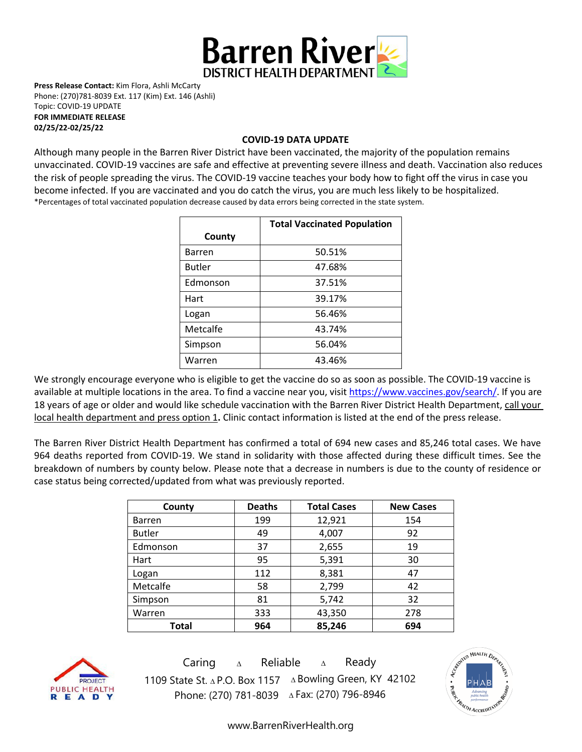

**Press Release Contact:** Kim Flora, Ashli McCarty Phone: (270)781-8039 Ext. 117 (Kim) Ext. 146 (Ashli) Topic: COVID-19 UPDATE **FOR IMMEDIATE RELEASE** 

**02/25/22-02/25/22**

#### **COVID-19 DATA UPDATE**

Although many people in the Barren River District have been vaccinated, the majority of the population remains unvaccinated. COVID-19 vaccines are [safe and effective](https://www.cdc.gov/coronavirus/2019-ncov/vaccines/effectiveness.html) at preventing severe illness and death. Vaccination also reduces the risk of people spreading the virus. The COVID-19 vaccine teaches your body how to fight off the virus in case you become infected. If you are vaccinated and you do catch the virus, you are much less likely to be hospitalized. \*Percentages of total vaccinated population decrease caused by data errors being corrected in the state system.

|               | <b>Total Vaccinated Population</b> |
|---------------|------------------------------------|
| County        |                                    |
| <b>Barren</b> | 50.51%                             |
| <b>Butler</b> | 47.68%                             |
| Edmonson      | 37.51%                             |
| Hart          | 39.17%                             |
| Logan         | 56.46%                             |
| Metcalfe      | 43.74%                             |
| Simpson       | 56.04%                             |
| Warren        | 43.46%                             |

We strongly encourage everyone who is eligible to get the vaccine do so as soon as possible. The COVID-19 vaccine is available at multiple locations in the area. To find a vaccine near you, visi[t https://www.vaccines.gov/search/.](https://www.vaccines.gov/search/) If you are 18 years of age or older and would like schedule vaccination with the Barren River District Health Department, call your local health department and press option 1**.** Clinic contact information is listed at the end of the press release.

The Barren River District Health Department has confirmed a total of 694 new cases and 85,246 total cases. We have 964 deaths reported from COVID-19. We stand in solidarity with those affected during these difficult times. See the breakdown of numbers by county below. Please note that a decrease in numbers is due to the county of residence or case status being corrected/updated from what was previously reported.

| County        | <b>Deaths</b> | <b>Total Cases</b> | <b>New Cases</b> |
|---------------|---------------|--------------------|------------------|
| <b>Barren</b> | 199           | 12,921             | 154              |
| <b>Butler</b> | 49            | 4,007              | 92               |
| Edmonson      | 37            | 2,655              | 19               |
| Hart          | 95            | 5,391              | 30               |
| Logan         | 112           | 8,381              | 47               |
| Metcalfe      | 58            | 2,799              | 42               |
| Simpson       | 81            | 5,742              | 32               |
| Warren        | 333           | 43,350             | 278              |
| Total         | 964           | 85,246             | 694              |



Caring <sup>∆</sup> Reliable <sup>∆</sup> Ready 1109 State St. ∆ P.O. Box 1157 ∆ Bowling Green, KY 42102 Phone: (270) 781-8039 ∆Fax: (270) 796-8946



[www.BarrenRiverHealth.org](http://www.barrenriverhealth.org/)